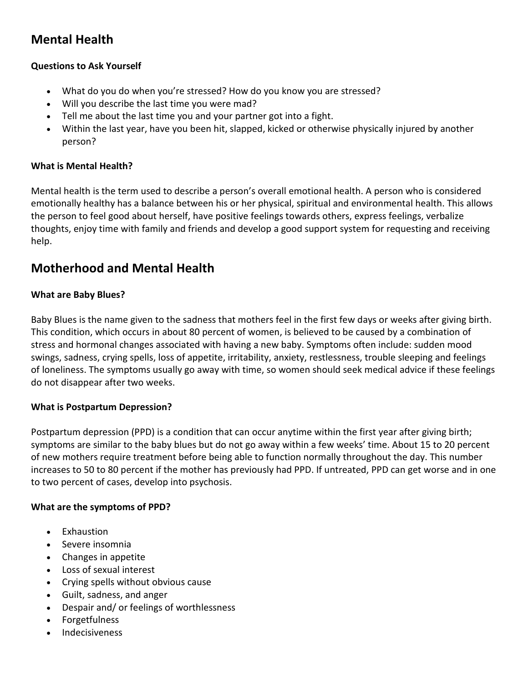# **Mental Health**

## **Questions to Ask Yourself**

- What do you do when you're stressed? How do you know you are stressed?
- Will you describe the last time you were mad?
- Tell me about the last time you and your partner got into a fight.
- Within the last year, have you been hit, slapped, kicked or otherwise physically injured by another person?

## **What is Mental Health?**

Mental health is the term used to describe a person's overall emotional health. A person who is considered emotionally healthy has a balance between his or her physical, spiritual and environmental health. This allows the person to feel good about herself, have positive feelings towards others, express feelings, verbalize thoughts, enjoy time with family and friends and develop a good support system for requesting and receiving help.

## **Motherhood and Mental Health**

## **What are Baby Blues?**

Baby Blues is the name given to the sadness that mothers feel in the first few days or weeks after giving birth. This condition, which occurs in about 80 percent of women, is believed to be caused by a combination of stress and hormonal changes associated with having a new baby. Symptoms often include: sudden mood swings, sadness, crying spells, loss of appetite, irritability, anxiety, restlessness, trouble sleeping and feelings of loneliness. The symptoms usually go away with time, so women should seek medical advice if these feelings do not disappear after two weeks.

## **What is Postpartum Depression?**

Postpartum depression (PPD) is a condition that can occur anytime within the first year after giving birth; symptoms are similar to the baby blues but do not go away within a few weeks' time. About 15 to 20 percent of new mothers require treatment before being able to function normally throughout the day. This number increases to 50 to 80 percent if the mother has previously had PPD. If untreated, PPD can get worse and in one to two percent of cases, develop into psychosis.

#### **What are the symptoms of PPD?**

- Exhaustion
- Severe insomnia
- Changes in appetite
- Loss of sexual interest
- Crying spells without obvious cause
- Guilt, sadness, and anger
- Despair and/ or feelings of worthlessness
- **Forgetfulness**
- **Indecisiveness**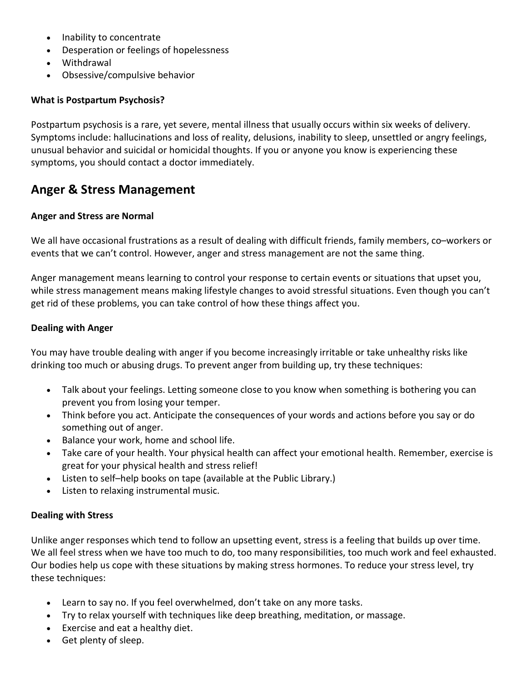- Inability to concentrate
- Desperation or feelings of hopelessness
- Withdrawal
- Obsessive/compulsive behavior

#### **What is Postpartum Psychosis?**

Postpartum psychosis is a rare, yet severe, mental illness that usually occurs within six weeks of delivery. Symptoms include: hallucinations and loss of reality, delusions, inability to sleep, unsettled or angry feelings, unusual behavior and suicidal or homicidal thoughts. If you or anyone you know is experiencing these symptoms, you should contact a doctor immediately.

## **Anger & Stress Management**

#### **Anger and Stress are Normal**

We all have occasional frustrations as a result of dealing with difficult friends, family members, co–workers or events that we can't control. However, anger and stress management are not the same thing.

Anger management means learning to control your response to certain events or situations that upset you, while stress management means making lifestyle changes to avoid stressful situations. Even though you can't get rid of these problems, you can take control of how these things affect you.

### **Dealing with Anger**

You may have trouble dealing with anger if you become increasingly irritable or take unhealthy risks like drinking too much or abusing drugs. To prevent anger from building up, try these techniques:

- Talk about your feelings. Letting someone close to you know when something is bothering you can prevent you from losing your temper.
- Think before you act. Anticipate the consequences of your words and actions before you say or do something out of anger.
- Balance your work, home and school life.
- Take care of your health. Your physical health can affect your emotional health. Remember, exercise is great for your physical health and stress relief!
- Listen to self–help books on tape (available at the Public Library.)
- Listen to relaxing instrumental music.

#### **Dealing with Stress**

Unlike anger responses which tend to follow an upsetting event, stress is a feeling that builds up over time. We all feel stress when we have too much to do, too many responsibilities, too much work and feel exhausted. Our bodies help us cope with these situations by making stress hormones. To reduce your stress level, try these techniques:

- Learn to say no. If you feel overwhelmed, don't take on any more tasks.
- Try to relax yourself with techniques like deep breathing, meditation, or massage.
- Exercise and eat a healthy diet.
- Get plenty of sleep.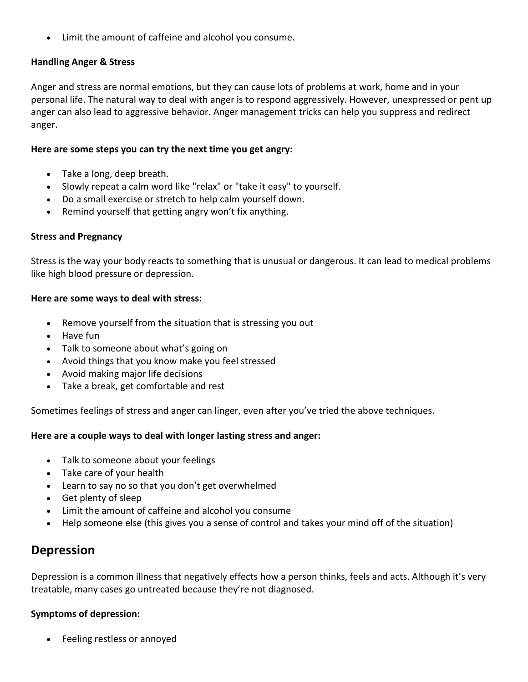• Limit the amount of caffeine and alcohol you consume.

## **Handling Anger & Stress**

Anger and stress are normal emotions, but they can cause lots of problems at work, home and in your personal life. The natural way to deal with anger is to respond aggressively. However, unexpressed or pent up anger can also lead to aggressive behavior. Anger management tricks can help you suppress and redirect anger.

## **Here are some steps you can try the next time you get angry:**

- Take a long, deep breath.
- Slowly repeat a calm word like "relax" or "take it easy" to yourself.
- Do a small exercise or stretch to help calm yourself down.
- Remind yourself that getting angry won't fix anything.

### **Stress and Pregnancy**

Stress is the way your body reacts to something that is unusual or dangerous. It can lead to medical problems like high blood pressure or depression.

### **Here are some ways to deal with stress:**

- Remove yourself from the situation that is stressing you out
- Have fun
- Talk to someone about what's going on
- Avoid things that you know make you feel stressed
- Avoid making major life decisions
- Take a break, get comfortable and rest

Sometimes feelings of stress and anger can linger, even after you've tried the above techniques.

## **Here are a couple ways to deal with longer lasting stress and anger:**

- Talk to someone about your feelings
- Take care of your health
- Learn to say no so that you don't get overwhelmed
- Get plenty of sleep
- Limit the amount of caffeine and alcohol you consume
- Help someone else (this gives you a sense of control and takes your mind off of the situation)

## **Depression**

Depression is a common illness that negatively effects how a person thinks, feels and acts. Although it's very treatable, many cases go untreated because they're not diagnosed.

## **Symptoms of depression:**

• Feeling restless or annoyed